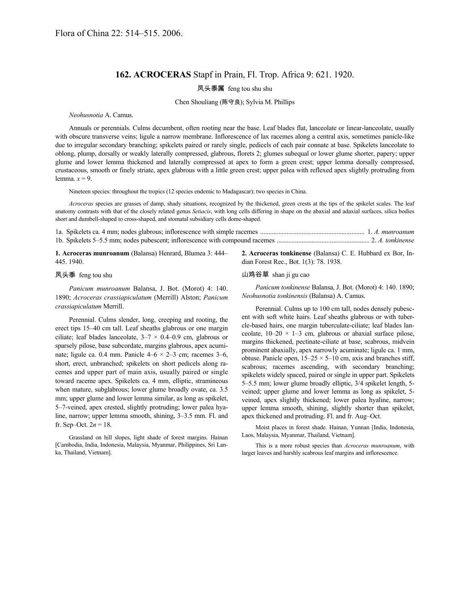## **162. ACROCERAS** Stapf in Prain, Fl. Trop. Africa 9: 621. 1920.

## 凤头黍属 feng tou shu shu

Chen Shouliang (陈守良); Sylvia M. Phillips

### *Neohusnotia* A. Camus.

Annuals or perennials. Culms decumbent, often rooting near the base. Leaf blades flat, lanceolate or linear-lanceolate, usually with obscure transverse veins; ligule a narrow membrane. Inflorescence of lax racemes along a central axis, sometimes panicle-like due to irregular secondary branching; spikelets paired or rarely single, pedicels of each pair connate at base. Spikelets lanceolate to oblong, plump, dorsally or weakly laterally compressed, glabrous, florets 2; glumes subequal or lower glume shorter, papery; upper glume and lower lemma thickened and laterally compressed at apex to form a green crest; upper lemma dorsally compressed, crustaceous, smooth or finely striate, apex glabrous with a little green crest; upper palea with reflexed apex slightly protruding from lemma.  $x = 9$ .

Nineteen species: throughout the tropics (12 species endemic to Madagascar); two species in China.

*Acroceras* species are grasses of damp, shady situations, recognized by the thickened, green crests at the tips of the spikelet scales. The leaf anatomy contrasts with that of the closely related genus *Setiacis*, with long cells differing in shape on the abaxial and adaxial surfaces, silica bodies short and dumbell-shaped to cross-shaped, and stomatal subsidiary cells dome-shaped.

**1. Acroceras munroanum** (Balansa) Henrard, Blumea 3: 444– 445. 1940.

# dian Forest Rec., Bot. 1(3): 78. 1938.

#### 凤头黍 feng tou shu

*Panicum munroanum* Balansa, J. Bot. (Morot) 4: 140. 1890; *Acroceras crassiapiculatum* (Merrill) Alston; *Panicum crassiapiculatum* Merrill.

Perennial. Culms slender, long, creeping and rooting, the erect tips 15–40 cm tall. Leaf sheaths glabrous or one margin ciliate; leaf blades lanceolate,  $3-7 \times 0.4-0.9$  cm, glabrous or sparsely pilose, base subcordate, margins glabrous, apex acuminate; ligule ca. 0.4 mm. Panicle  $4-6 \times 2-3$  cm; racemes  $3-6$ , short, erect, unbranched; spikelets on short pedicels along racemes and upper part of main axis, usually paired or single toward raceme apex. Spikelets ca. 4 mm, elliptic, stramineous when mature, subglabrous; lower glume broadly ovate, ca. 3.5 mm; upper glume and lower lemma similar, as long as spikelet, 5–7-veined, apex crested, slightly protruding; lower palea hyaline, narrow; upper lemma smooth, shining, 3–3.5 mm. Fl. and fr. Sep–Oct.  $2n = 18$ .

Grassland on hill slopes, light shade of forest margins. Hainan [Cambodia, India, Indonesia, Malaysia, Myanmar, Philippines, Sri Lanka, Thailand, Vietnam].

### 山鸡谷草 shan ji gu cao

*Panicum tonkinense* Balansa, J. Bot. (Morot) 4: 140. 1890; *Neohusnotia tonkinensis* (Balansa) A. Camus.

**2. Acroceras tonkinense** (Balansa) C. E. Hubbard ex Bor, In-

Perennial. Culms up to 100 cm tall, nodes densely pubescent with soft white hairs. Leaf sheaths glabrous or with tubercle-based hairs, one margin tuberculate-ciliate; leaf blades lanceolate,  $10-20 \times 1-3$  cm, glabrous or abaxial surface pilose, margins thickened, pectinate-ciliate at base, scabrous, midvein prominent abaxially, apex narrowly acuminate; ligule ca. 1 mm, obtuse. Panicle open,  $15-25 \times 5-10$  cm, axis and branches stiff, scabrous; racemes ascending, with secondary branching; spikelets widely spaced, paired or single in upper part. Spikelets 5–5.5 mm; lower glume broadly elliptic, 3/4 spikelet length, 5 veined; upper glume and lower lemma as long as spikelet, 5 veined, apex slightly thickened; lower palea hyaline, narrow; upper lemma smooth, shining, slightly shorter than spikelet, apex thickened and protruding. Fl. and fr. Aug–Oct.

Moist places in forest shade. Hainan, Yunnan [India, Indonesia, Laos, Malaysia, Myanmar, Thailand, Vietnam].

This is a more robust species than *Acroceras munroanum*, with larger leaves and harshly scabrous leaf margins and inflorescence.